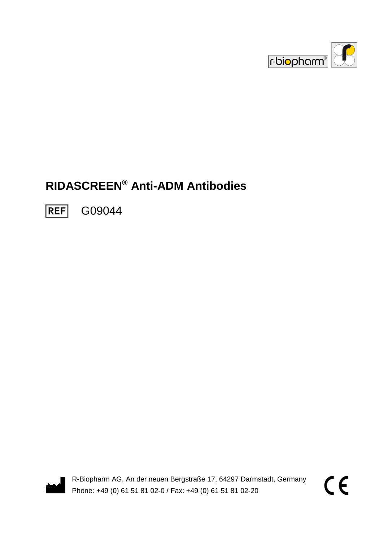

# **RIDASCREEN® Anti-ADM Antibodies**

**REF** G09044



R-Biopharm AG, An der neuen Bergstraße 17, 64297 Darmstadt, Germany Phone: +49 (0) 61 51 81 02-0 / Fax: +49 (0) 61 51 81 02-20

 $\epsilon$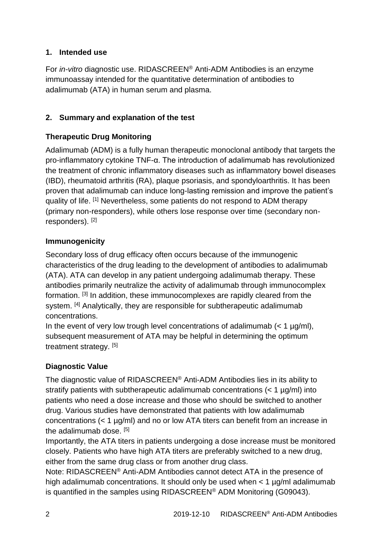## **1. Intended use**

For *in-vitro* diagnostic use. RIDASCREEN® Anti-ADM Antibodies is an enzyme immunoassay intended for the quantitative determination of antibodies to adalimumab (ATA) in human serum and plasma.

#### **2. Summary and explanation of the test**

## **Therapeutic Drug Monitoring**

Adalimumab (ADM) is a fully human therapeutic monoclonal antibody that targets the pro-inflammatory cytokine TNF-α. The introduction of adalimumab has revolutionized the treatment of chronic inflammatory diseases such as inflammatory bowel diseases (IBD), rheumatoid arthritis (RA), plaque psoriasis, and spondyloarthritis. It has been proven that adalimumab can induce long-lasting remission and improve the patient's quality of life. [1] Nevertheless, some patients do not respond to ADM therapy (primary non-responders), while others lose response over time (secondary nonresponders). [2]

#### **Immunogenicity**

Secondary loss of drug efficacy often occurs because of the immunogenic characteristics of the drug leading to the development of antibodies to adalimumab (ATA). ATA can develop in any patient undergoing adalimumab therapy. These antibodies primarily neutralize the activity of adalimumab through immunocomplex formation. [3] In addition, these immunocomplexes are rapidly cleared from the system. <sup>[4]</sup> Analytically, they are responsible for subtherapeutic adalimumab concentrations.

In the event of very low trough level concentrations of adalimumab  $\left($  < 1 µg/ml), subsequent measurement of ATA may be helpful in determining the optimum treatment strategy. [5]

## **Diagnostic Value**

The diagnostic value of RIDASCREEN® Anti-ADM Antibodies lies in its ability to stratify patients with subtherapeutic adalimumab concentrations (< 1 ug/ml) into patients who need a dose increase and those who should be switched to another drug. Various studies have demonstrated that patients with low adalimumab concentrations (< 1 µg/ml) and no or low ATA titers can benefit from an increase in the adalimumab dose. <sup>[5]</sup>

Importantly, the ATA titers in patients undergoing a dose increase must be monitored closely. Patients who have high ATA titers are preferably switched to a new drug, either from the same drug class or from another drug class.

Note: RIDASCREEN® Anti-ADM Antibodies cannot detect ATA in the presence of high adalimumab concentrations. It should only be used when < 1 µg/ml adalimumab is quantified in the samples using RIDASCREEN® ADM Monitoring (G09043).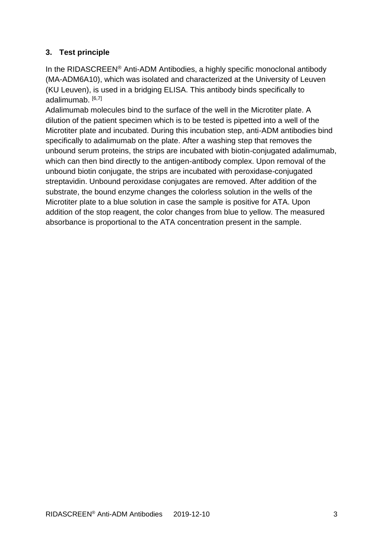## **3. Test principle**

In the RIDASCREEN® Anti-ADM Antibodies, a highly specific monoclonal antibody (MA-ADM6A10), which was isolated and characterized at the University of Leuven (KU Leuven), is used in a bridging ELISA. This antibody binds specifically to adalimumab. [6,7]

Adalimumab molecules bind to the surface of the well in the Microtiter plate. A dilution of the patient specimen which is to be tested is pipetted into a well of the Microtiter plate and incubated. During this incubation step, anti-ADM antibodies bind specifically to adalimumab on the plate. After a washing step that removes the unbound serum proteins, the strips are incubated with biotin-conjugated adalimumab, which can then bind directly to the antigen-antibody complex. Upon removal of the unbound biotin conjugate, the strips are incubated with peroxidase-conjugated streptavidin. Unbound peroxidase conjugates are removed. After addition of the substrate, the bound enzyme changes the colorless solution in the wells of the Microtiter plate to a blue solution in case the sample is positive for ATA. Upon addition of the stop reagent, the color changes from blue to yellow. The measured absorbance is proportional to the ATA concentration present in the sample.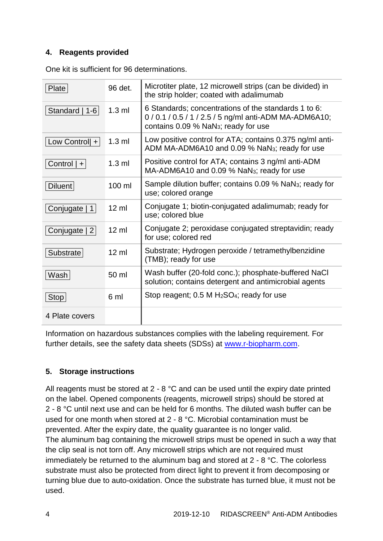#### **4. Reagents provided**

| Plate                    | 96 det.          | Microtiter plate, 12 microwell strips (can be divided) in<br>the strip holder; coated with adalimumab                                                    |
|--------------------------|------------------|----------------------------------------------------------------------------------------------------------------------------------------------------------|
| Standard   1-6           | $1.3$ ml         | 6 Standards; concentrations of the standards 1 to 6:<br>0/0.1/0.5/1/2.5/5 ng/ml anti-ADM MA-ADM6A10;<br>contains 0.09 % NaN <sub>3</sub> ; ready for use |
| Low Controll +           | $1.3$ ml         | Low positive control for ATA; contains 0.375 ng/ml anti-<br>ADM MA-ADM6A10 and 0.09 % NaN <sub>3</sub> ; ready for use                                   |
| Control $ + $            | $1.3$ ml         | Positive control for ATA; contains 3 ng/ml anti-ADM<br>MA-ADM6A10 and 0.09 % NaN <sub>3</sub> ; ready for use                                            |
| <b>Diluent</b>           | $100$ ml         | Sample dilution buffer; contains 0.09 % NaN <sub>3</sub> ; ready for<br>use; colored orange                                                              |
| Conjugate<br>$\mathbf 1$ | $12 \mathrm{ml}$ | Conjugate 1; biotin-conjugated adalimumab; ready for<br>use; colored blue                                                                                |
| Conjugate   2            | $12 \text{ ml}$  | Conjugate 2; peroxidase conjugated streptavidin; ready<br>for use; colored red                                                                           |
| Substrate                | $12 \text{ ml}$  | Substrate; Hydrogen peroxide / tetramethylbenzidine<br>(TMB); ready for use                                                                              |
| Wash                     | 50 ml            | Wash buffer (20-fold conc.); phosphate-buffered NaCl<br>solution; contains detergent and antimicrobial agents                                            |
| Stop                     | 6 ml             | Stop reagent; 0.5 M H <sub>2</sub> SO <sub>4</sub> ; ready for use                                                                                       |
| 4 Plate covers           |                  |                                                                                                                                                          |

One kit is sufficient for 96 determinations.

Information on hazardous substances complies with the labeling requirement. For further details, see the safety data sheets (SDSs) at [www.r-biopharm.com.](http://www.r-biopharm.com/)

## **5. Storage instructions**

All reagents must be stored at 2 - 8 °C and can be used until the expiry date printed on the label. Opened components (reagents, microwell strips) should be stored at 2 - 8 °C until next use and can be held for 6 months. The diluted wash buffer can be used for one month when stored at 2 - 8 °C. Microbial contamination must be prevented. After the expiry date, the quality guarantee is no longer valid. The aluminum bag containing the microwell strips must be opened in such a way that the clip seal is not torn off. Any microwell strips which are not required must immediately be returned to the aluminum bag and stored at 2 - 8 °C. The colorless substrate must also be protected from direct light to prevent it from decomposing or turning blue due to auto-oxidation. Once the substrate has turned blue, it must not be used.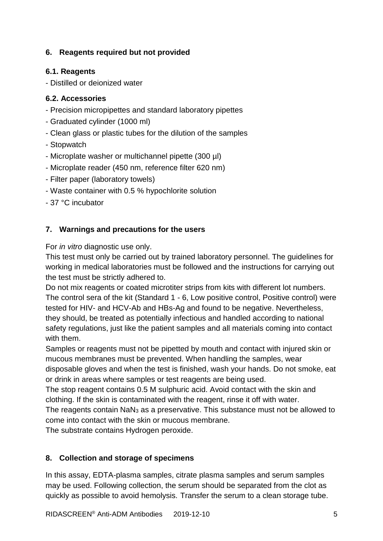## **6. Reagents required but not provided**

## **6.1. Reagents**

- Distilled or deionized water

#### **6.2. Accessories**

- Precision micropipettes and standard laboratory pipettes
- Graduated cylinder (1000 ml)
- Clean glass or plastic tubes for the dilution of the samples
- Stopwatch
- Microplate washer or multichannel pipette (300 µl)
- Microplate reader (450 nm, reference filter 620 nm)
- Filter paper (laboratory towels)
- Waste container with 0.5 % hypochlorite solution
- 37 °C incubator

## **7. Warnings and precautions for the users**

For *in vitro* diagnostic use only.

This test must only be carried out by trained laboratory personnel. The guidelines for working in medical laboratories must be followed and the instructions for carrying out the test must be strictly adhered to.

Do not mix reagents or coated microtiter strips from kits with different lot numbers. The control sera of the kit (Standard 1 - 6, Low positive control, Positive control) were tested for HIV- and HCV-Ab and HBs-Ag and found to be negative. Nevertheless, they should, be treated as potentially infectious and handled according to national safety regulations, just like the patient samples and all materials coming into contact with them.

Samples or reagents must not be pipetted by mouth and contact with injured skin or mucous membranes must be prevented. When handling the samples, wear disposable gloves and when the test is finished, wash your hands. Do not smoke, eat or drink in areas where samples or test reagents are being used.

The stop reagent contains 0.5 M sulphuric acid. Avoid contact with the skin and clothing. If the skin is contaminated with the reagent, rinse it off with water.

The reagents contain NaN<sup>3</sup> as a preservative. This substance must not be allowed to come into contact with the skin or mucous membrane.

The substrate contains Hydrogen peroxide.

## **8. Collection and storage of specimens**

In this assay, EDTA-plasma samples, citrate plasma samples and serum samples may be used. Following collection, the serum should be separated from the clot as quickly as possible to avoid hemolysis. Transfer the serum to a clean storage tube.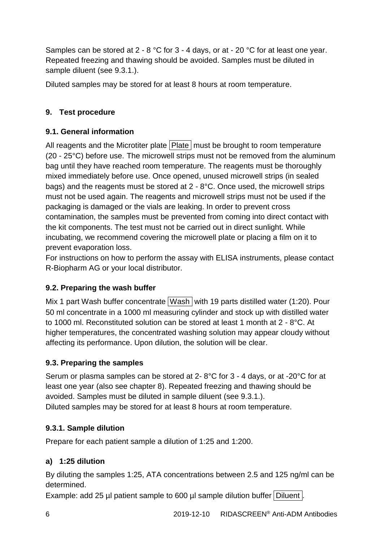Samples can be stored at 2 - 8 °C for 3 - 4 days, or at - 20 °C for at least one year. Repeated freezing and thawing should be avoided. Samples must be diluted in sample diluent (see 9.3.1.).

Diluted samples may be stored for at least 8 hours at room temperature.

# **9. Test procedure**

# **9.1. General information**

All reagents and the Microtiter plate  $\boxed{\text{Place}}$  must be brought to room temperature (20 - 25°C) before use. The microwell strips must not be removed from the aluminum bag until they have reached room temperature. The reagents must be thoroughly mixed immediately before use. Once opened, unused microwell strips (in sealed bags) and the reagents must be stored at 2 - 8°C. Once used, the microwell strips must not be used again. The reagents and microwell strips must not be used if the packaging is damaged or the vials are leaking. In order to prevent cross contamination, the samples must be prevented from coming into direct contact with the kit components. The test must not be carried out in direct sunlight. While incubating, we recommend covering the microwell plate or placing a film on it to prevent evaporation loss.

For instructions on how to perform the assay with ELISA instruments, please contact R-Biopharm AG or your local distributor.

# **9.2. Preparing the wash buffer**

Mix 1 part Wash buffer concentrate Wash with 19 parts distilled water (1:20). Pour 50 ml concentrate in a 1000 ml measuring cylinder and stock up with distilled water to 1000 ml. Reconstituted solution can be stored at least 1 month at 2 - 8°C. At higher temperatures, the concentrated washing solution may appear cloudy without affecting its performance. Upon dilution, the solution will be clear.

# **9.3. Preparing the samples**

Serum or plasma samples can be stored at 2- 8°C for 3 - 4 days, or at -20°C for at least one year (also see chapter 8). Repeated freezing and thawing should be avoided. Samples must be diluted in sample diluent (see 9.3.1.). Diluted samples may be stored for at least 8 hours at room temperature.

# **9.3.1. Sample dilution**

Prepare for each patient sample a dilution of 1:25 and 1:200.

# **a) 1:25 dilution**

By diluting the samples 1:25, ATA concentrations between 2.5 and 125 ng/ml can be determined.

Example: add 25 µl patient sample to 600 µl sample dilution buffer Diluent.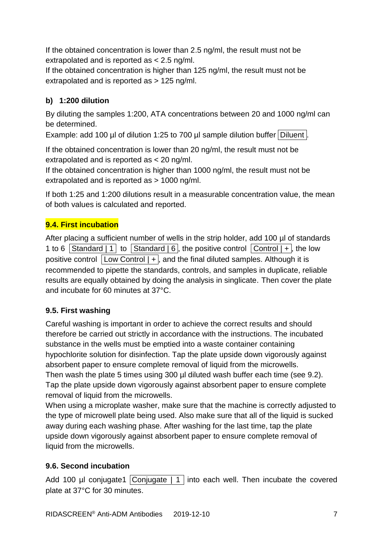If the obtained concentration is lower than 2.5 ng/ml, the result must not be extrapolated and is reported as < 2.5 ng/ml.

If the obtained concentration is higher than 125 ng/ml, the result must not be extrapolated and is reported as > 125 ng/ml.

# **b) 1:200 dilution**

By diluting the samples 1:200, ATA concentrations between 20 and 1000 ng/ml can be determined.

Example: add 100 µl of dilution 1:25 to 700 µl sample dilution buffer Diluent.

If the obtained concentration is lower than 20 ng/ml, the result must not be extrapolated and is reported as < 20 ng/ml.

If the obtained concentration is higher than 1000 ng/ml, the result must not be extrapolated and is reported as > 1000 ng/ml.

If both 1:25 and 1:200 dilutions result in a measurable concentration value, the mean of both values is calculated and reported.

# **9.4. First incubation**

After placing a sufficient number of wells in the strip holder, add 100 µl of standards 1 to 6 Standard | 1 | to  $\overline{\phantom{a}}$  Standard  $\overline{\phantom{a}}$  6  $\overline{\phantom{a}}$ , the positive control  $\overline{\phantom{a}}$  Control  $\overline{\phantom{a}}$  +  $\overline{\phantom{a}}$ , the low positive control  $\boxed{\text{Low Control} + \text{ and the final diluted samples. Although it is}$ recommended to pipette the standards, controls, and samples in duplicate, reliable results are equally obtained by doing the analysis in singlicate. Then cover the plate and incubate for 60 minutes at 37°C.

# **9.5. First washing**

Careful washing is important in order to achieve the correct results and should therefore be carried out strictly in accordance with the instructions. The incubated substance in the wells must be emptied into a waste container containing hypochlorite solution for disinfection. Tap the plate upside down vigorously against absorbent paper to ensure complete removal of liquid from the microwells. Then wash the plate 5 times using 300 µl diluted wash buffer each time (see 9.2). Tap the plate upside down vigorously against absorbent paper to ensure complete

removal of liquid from the microwells.

When using a microplate washer, make sure that the machine is correctly adjusted to the type of microwell plate being used. Also make sure that all of the liquid is sucked away during each washing phase. After washing for the last time, tap the plate upside down vigorously against absorbent paper to ensure complete removal of liquid from the microwells.

# **9.6. Second incubation**

Add 100 µl conjugate1  $\lfloor$ Conjugate  $\rfloor$  1 into each well. Then incubate the covered plate at 37°C for 30 minutes.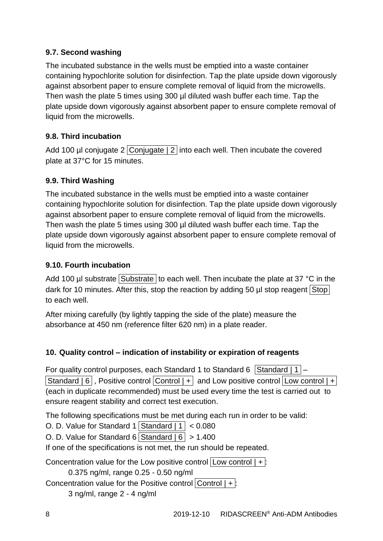## **9.7. Second washing**

The incubated substance in the wells must be emptied into a waste container containing hypochlorite solution for disinfection. Tap the plate upside down vigorously against absorbent paper to ensure complete removal of liquid from the microwells. Then wash the plate 5 times using 300 µl diluted wash buffer each time. Tap the plate upside down vigorously against absorbent paper to ensure complete removal of liquid from the microwells.

## **9.8. Third incubation**

Add 100 µl conjugate  $2$  Conjugate |  $2$  into each well. Then incubate the covered plate at 37°C for 15 minutes.

## **9.9. Third Washing**

The incubated substance in the wells must be emptied into a waste container containing hypochlorite solution for disinfection. Tap the plate upside down vigorously against absorbent paper to ensure complete removal of liquid from the microwells. Then wash the plate 5 times using 300 µl diluted wash buffer each time. Tap the plate upside down vigorously against absorbent paper to ensure complete removal of liquid from the microwells.

## **9.10. Fourth incubation**

Add 100 µl substrate Substrate to each well. Then incubate the plate at 37 °C in the dark for 10 minutes. After this, stop the reaction by adding 50  $\mu$ l stop reagent  $\boxed{\text{Stop}}$ to each well.

After mixing carefully (by lightly tapping the side of the plate) measure the absorbance at 450 nm (reference filter 620 nm) in a plate reader.

# **10. Quality control – indication of instability or expiration of reagents**

For quality control purposes, each Standard 1 to Standard 6 Standard  $|1|$  – Standard  $| 6 |$ , Positive control Control  $| + |$  and Low positive control  $|$ Low control  $| + |$ (each in duplicate recommended) must be used every time the test is carried out to ensure reagent stability and correct test execution.

The following specifications must be met during each run in order to be valid:

O. D. Value for Standard 1 Standard  $|1| < 0.080$ 

O. D. Value for Standard 6 Standard  $| 6 | > 1.400$ 

If one of the specifications is not met, the run should be repeated.

Concentration value for the Low positive control  $|$  Low control  $| + |$ : 0.375 ng/ml, range 0.25 - 0.50 ng/ml

Concentration value for the Positive control  $|Control|$  + : 3 ng/ml, range 2 - 4 ng/ml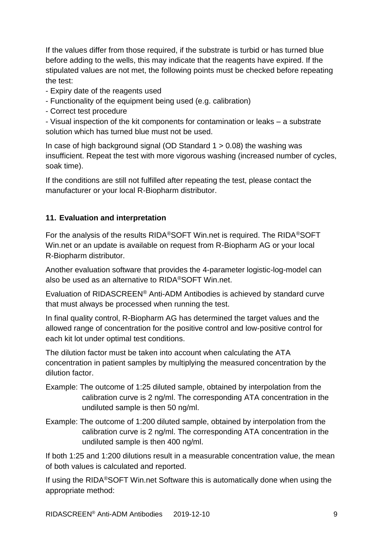If the values differ from those required, if the substrate is turbid or has turned blue before adding to the wells, this may indicate that the reagents have expired. If the stipulated values are not met, the following points must be checked before repeating the test:

- Expiry date of the reagents used
- Functionality of the equipment being used (e.g. calibration)
- Correct test procedure

- Visual inspection of the kit components for contamination or leaks – a substrate solution which has turned blue must not be used.

In case of high background signal (OD Standard  $1 > 0.08$ ) the washing was insufficient. Repeat the test with more vigorous washing (increased number of cycles, soak time).

If the conditions are still not fulfilled after repeating the test, please contact the manufacturer or your local R-Biopharm distributor.

#### **11. Evaluation and interpretation**

For the analysis of the results RIDA®SOFT Win.net is required. The RIDA®SOFT Win.net or an update is available on request from R-Biopharm AG or your local R-Biopharm distributor.

Another evaluation software that provides the 4-parameter logistic-log-model can also be used as an alternative to RIDA®SOFT Win.net.

Evaluation of RIDASCREEN® Anti-ADM Antibodies is achieved by standard curve that must always be processed when running the test.

In final quality control, R-Biopharm AG has determined the target values and the allowed range of concentration for the positive control and low-positive control for each kit lot under optimal test conditions.

The dilution factor must be taken into account when calculating the ATA concentration in patient samples by multiplying the measured concentration by the dilution factor.

- Example: The outcome of 1:25 diluted sample, obtained by interpolation from the calibration curve is 2 ng/ml. The corresponding ATA concentration in the undiluted sample is then 50 ng/ml.
- Example: The outcome of 1:200 diluted sample, obtained by interpolation from the calibration curve is 2 ng/ml. The corresponding ATA concentration in the undiluted sample is then 400 ng/ml.

If both 1:25 and 1:200 dilutions result in a measurable concentration value, the mean of both values is calculated and reported.

If using the RIDA®SOFT Win.net Software this is automatically done when using the appropriate method: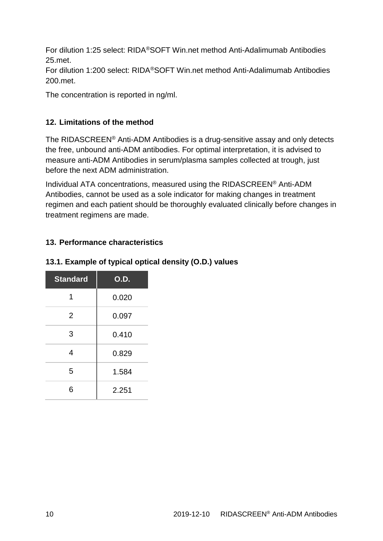For dilution 1:25 select: RIDA®SOFT Win.net method Anti-Adalimumab Antibodies 25.met.

For dilution 1:200 select: RIDA®SOFT Win.net method Anti-Adalimumab Antibodies 200.met.

The concentration is reported in ng/ml.

## **12. Limitations of the method**

The RIDASCREEN® Anti-ADM Antibodies is a drug-sensitive assay and only detects the free, unbound anti-ADM antibodies. For optimal interpretation, it is advised to measure anti-ADM Antibodies in serum/plasma samples collected at trough, just before the next ADM administration.

Individual ATA concentrations, measured using the RIDASCREEN® Anti-ADM Antibodies, cannot be used as a sole indicator for making changes in treatment regimen and each patient should be thoroughly evaluated clinically before changes in treatment regimens are made.

## **13. Performance characteristics**

## **13.1. Example of typical optical density (O.D.) values**

| <b>Standard</b> | <b>O.D.</b> |
|-----------------|-------------|
| 1               | 0.020       |
| $\overline{2}$  | 0.097       |
| 3               | 0.410       |
| 4               | 0.829       |
| 5               | 1.584       |
| 6               | 2.251       |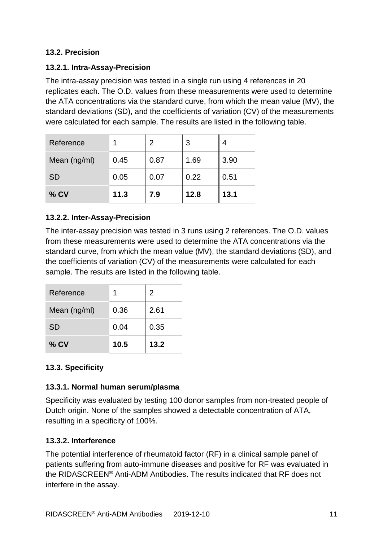#### **13.2. Precision**

#### **13.2.1. Intra-Assay-Precision**

The intra-assay precision was tested in a single run using 4 references in 20 replicates each. The O.D. values from these measurements were used to determine the ATA concentrations via the standard curve, from which the mean value (MV), the standard deviations (SD), and the coefficients of variation (CV) of the measurements were calculated for each sample. The results are listed in the following table.

| Reference    |      | 2    | 3    |      |
|--------------|------|------|------|------|
| Mean (ng/ml) | 0.45 | 0.87 | 1.69 | 3.90 |
| <b>SD</b>    | 0.05 | 0.07 | 0.22 | 0.51 |
| $%$ CV       | 11.3 | 7.9  | 12.8 | 13.1 |

#### **13.2.2. Inter-Assay-Precision**

The inter-assay precision was tested in 3 runs using 2 references. The O.D. values from these measurements were used to determine the ATA concentrations via the standard curve, from which the mean value (MV), the standard deviations (SD), and the coefficients of variation (CV) of the measurements were calculated for each sample. The results are listed in the following table.

| Reference    |      | 2    |
|--------------|------|------|
| Mean (ng/ml) | 0.36 | 2.61 |
| <b>SD</b>    | 0.04 | 0.35 |
| $%$ CV       | 10.5 | 13.2 |

## **13.3. Specificity**

#### **13.3.1. Normal human serum/plasma**

Specificity was evaluated by testing 100 donor samples from non-treated people of Dutch origin. None of the samples showed a detectable concentration of ATA, resulting in a specificity of 100%.

#### **13.3.2. Interference**

The potential interference of rheumatoid factor (RF) in a clinical sample panel of patients suffering from auto-immune diseases and positive for RF was evaluated in the RIDASCREEN® Anti-ADM Antibodies. The results indicated that RF does not interfere in the assay.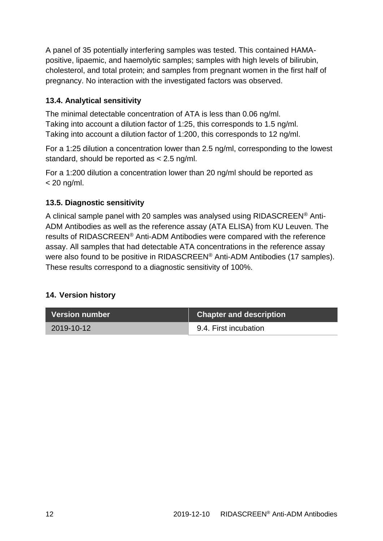A panel of 35 potentially interfering samples was tested. This contained HAMApositive, lipaemic, and haemolytic samples; samples with high levels of bilirubin, cholesterol, and total protein; and samples from pregnant women in the first half of pregnancy. No interaction with the investigated factors was observed.

## **13.4. Analytical sensitivity**

The minimal detectable concentration of ATA is less than 0.06 ng/ml. Taking into account a dilution factor of 1:25, this corresponds to 1.5 ng/ml. Taking into account a dilution factor of 1:200, this corresponds to 12 ng/ml.

For a 1:25 dilution a concentration lower than 2.5 ng/ml, corresponding to the lowest standard, should be reported as < 2.5 ng/ml.

For a 1:200 dilution a concentration lower than 20 ng/ml should be reported as  $<$  20 ng/ml.

## **13.5. Diagnostic sensitivity**

A clinical sample panel with 20 samples was analysed using RIDASCREEN® Anti-ADM Antibodies as well as the reference assay (ATA ELISA) from KU Leuven. The results of RIDASCREEN® Anti-ADM Antibodies were compared with the reference assay. All samples that had detectable ATA concentrations in the reference assay were also found to be positive in RIDASCREEN® Anti-ADM Antibodies (17 samples). These results correspond to a diagnostic sensitivity of 100%.

## **14. Version history**

| <b>Version number</b> | <b>Chapter and description</b> |
|-----------------------|--------------------------------|
| 2019-10-12            | 9.4. First incubation          |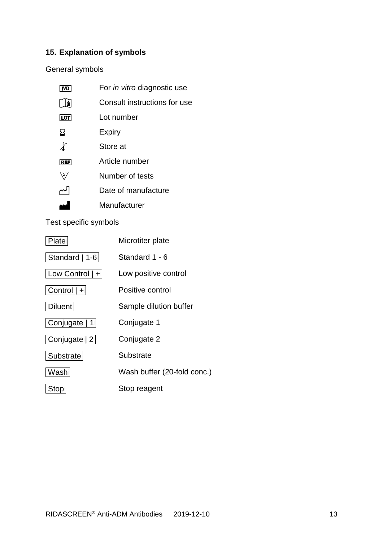# **15. Explanation of symbols**

General symbols

| IVD.           | For <i>in vitro</i> diagnostic use |
|----------------|------------------------------------|
| Ħ              | Consult instructions for use       |
| LOT            | I ot number                        |
| ⊠              | Expiry                             |
| $\chi$         | Store at                           |
| <b>REF</b>     | Article number                     |
| $\mathbf{z}_t$ | Number of tests                    |
|                | Date of manufacture                |
|                | Manufacturer                       |
|                |                                    |

Test specific symbols

| Plate             | Microtiter plate            |
|-------------------|-----------------------------|
| Standard   1-6    | Standard 1 - 6              |
| Low Control $ + $ | Low positive control        |
| Control $ + $     | Positive control            |
| <b>Diluent</b>    | Sample dilution buffer      |
| Conjugate   1     | Conjugate 1                 |
| Conjugate   2     | Conjugate 2                 |
| Substrate         | Substrate                   |
| Washi             | Wash buffer (20-fold conc.) |
| <b>Stop</b>       | Stop reagent                |